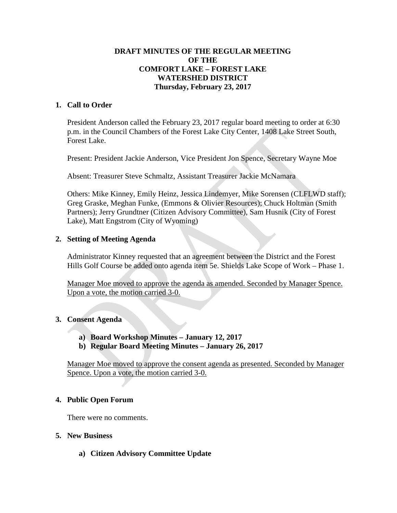### **DRAFT MINUTES OF THE REGULAR MEETING OF THE COMFORT LAKE – FOREST LAKE WATERSHED DISTRICT Thursday, February 23, 2017**

### **1. Call to Order**

President Anderson called the February 23, 2017 regular board meeting to order at 6:30 p.m. in the Council Chambers of the Forest Lake City Center, 1408 Lake Street South, Forest Lake.

Present: President Jackie Anderson, Vice President Jon Spence, Secretary Wayne Moe

Absent: Treasurer Steve Schmaltz, Assistant Treasurer Jackie McNamara

Others: Mike Kinney, Emily Heinz, Jessica Lindemyer, Mike Sorensen (CLFLWD staff); Greg Graske, Meghan Funke, (Emmons & Olivier Resources); Chuck Holtman (Smith Partners); Jerry Grundtner (Citizen Advisory Committee), Sam Husnik (City of Forest Lake), Matt Engstrom (City of Wyoming)

### **2. Setting of Meeting Agenda**

Administrator Kinney requested that an agreement between the District and the Forest Hills Golf Course be added onto agenda item 5e. Shields Lake Scope of Work – Phase 1.

Manager Moe moved to approve the agenda as amended. Seconded by Manager Spence. Upon a vote, the motion carried 3-0.

# **3. Consent Agenda**

- **a) Board Workshop Minutes – January 12, 2017**
- **b) Regular Board Meeting Minutes – January 26, 2017**

Manager Moe moved to approve the consent agenda as presented. Seconded by Manager Spence. Upon a vote, the motion carried 3-0.

#### **4. Public Open Forum**

There were no comments.

#### **5. New Business**

**a) Citizen Advisory Committee Update**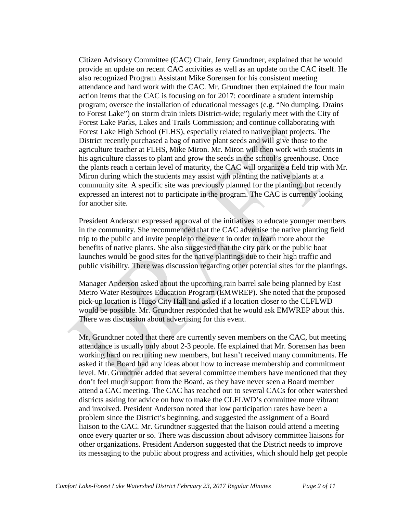Citizen Advisory Committee (CAC) Chair, Jerry Grundtner, explained that he would provide an update on recent CAC activities as well as an update on the CAC itself. He also recognized Program Assistant Mike Sorensen for his consistent meeting attendance and hard work with the CAC. Mr. Grundtner then explained the four main action items that the CAC is focusing on for 2017: coordinate a student internship program; oversee the installation of educational messages (e.g. "No dumping. Drains to Forest Lake") on storm drain inlets District-wide; regularly meet with the City of Forest Lake Parks, Lakes and Trails Commission; and continue collaborating with Forest Lake High School (FLHS), especially related to native plant projects. The District recently purchased a bag of native plant seeds and will give those to the agriculture teacher at FLHS, Mike Miron. Mr. Miron will then work with students in his agriculture classes to plant and grow the seeds in the school's greenhouse. Once the plants reach a certain level of maturity, the CAC will organize a field trip with Mr. Miron during which the students may assist with planting the native plants at a community site. A specific site was previously planned for the planting, but recently expressed an interest not to participate in the program. The CAC is currently looking for another site.

President Anderson expressed approval of the initiatives to educate younger members in the community. She recommended that the CAC advertise the native planting field trip to the public and invite people to the event in order to learn more about the benefits of native plants. She also suggested that the city park or the public boat launches would be good sites for the native plantings due to their high traffic and public visibility. There was discussion regarding other potential sites for the plantings.

Manager Anderson asked about the upcoming rain barrel sale being planned by East Metro Water Resources Education Program (EMWREP). She noted that the proposed pick-up location is Hugo City Hall and asked if a location closer to the CLFLWD would be possible. Mr. Grundtner responded that he would ask EMWREP about this. There was discussion about advertising for this event.

Mr. Grundtner noted that there are currently seven members on the CAC, but meeting attendance is usually only about 2-3 people. He explained that Mr. Sorensen has been working hard on recruiting new members, but hasn't received many commitments. He asked if the Board had any ideas about how to increase membership and commitment level. Mr. Grundtner added that several committee members have mentioned that they don't feel much support from the Board, as they have never seen a Board member attend a CAC meeting. The CAC has reached out to several CACs for other watershed districts asking for advice on how to make the CLFLWD's committee more vibrant and involved. President Anderson noted that low participation rates have been a problem since the District's beginning, and suggested the assignment of a Board liaison to the CAC. Mr. Grundtner suggested that the liaison could attend a meeting once every quarter or so. There was discussion about advisory committee liaisons for other organizations. President Anderson suggested that the District needs to improve its messaging to the public about progress and activities, which should help get people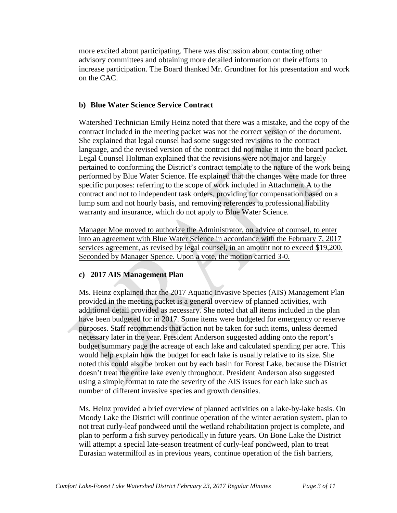more excited about participating. There was discussion about contacting other advisory committees and obtaining more detailed information on their efforts to increase participation. The Board thanked Mr. Grundtner for his presentation and work on the CAC.

### **b) Blue Water Science Service Contract**

Watershed Technician Emily Heinz noted that there was a mistake, and the copy of the contract included in the meeting packet was not the correct version of the document. She explained that legal counsel had some suggested revisions to the contract language, and the revised version of the contract did not make it into the board packet. Legal Counsel Holtman explained that the revisions were not major and largely pertained to conforming the District's contract template to the nature of the work being performed by Blue Water Science. He explained that the changes were made for three specific purposes: referring to the scope of work included in Attachment A to the contract and not to independent task orders, providing for compensation based on a lump sum and not hourly basis, and removing references to professional liability warranty and insurance, which do not apply to Blue Water Science.

Manager Moe moved to authorize the Administrator, on advice of counsel, to enter into an agreement with Blue Water Science in accordance with the February 7, 2017 services agreement, as revised by legal counsel, in an amount not to exceed \$19,200. Seconded by Manager Spence. Upon a vote, the motion carried 3-0.

#### **c) 2017 AIS Management Plan**

Ms. Heinz explained that the 2017 Aquatic Invasive Species (AIS) Management Plan provided in the meeting packet is a general overview of planned activities, with additional detail provided as necessary. She noted that all items included in the plan have been budgeted for in 2017. Some items were budgeted for emergency or reserve purposes. Staff recommends that action not be taken for such items, unless deemed necessary later in the year. President Anderson suggested adding onto the report's budget summary page the acreage of each lake and calculated spending per acre. This would help explain how the budget for each lake is usually relative to its size. She noted this could also be broken out by each basin for Forest Lake, because the District doesn't treat the entire lake evenly throughout. President Anderson also suggested using a simple format to rate the severity of the AIS issues for each lake such as number of different invasive species and growth densities.

Ms. Heinz provided a brief overview of planned activities on a lake-by-lake basis. On Moody Lake the District will continue operation of the winter aeration system, plan to not treat curly-leaf pondweed until the wetland rehabilitation project is complete, and plan to perform a fish survey periodically in future years. On Bone Lake the District will attempt a special late-season treatment of curly-leaf pondweed, plan to treat Eurasian watermilfoil as in previous years, continue operation of the fish barriers,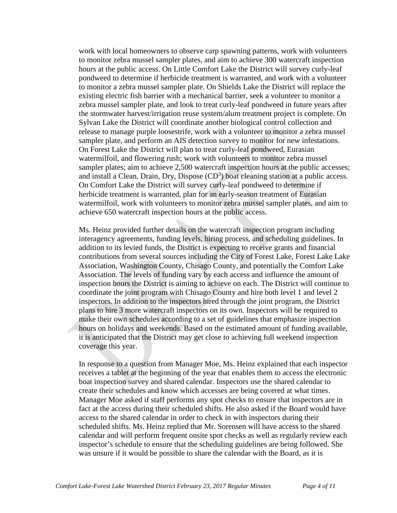work with local homeowners to observe carp spawning patterns, work with volunteers to monitor zebra mussel sampler plates, and aim to achieve 300 watercraft inspection hours at the public access. On Little Comfort Lake the District will survey curly-leaf pondweed to determine if herbicide treatment is warranted, and work with a volunteer to monitor a zebra mussel sampler plate. On Shields Lake the District will replace the existing electric fish barrier with a mechanical barrier, seek a volunteer to monitor a zebra mussel sampler plate, and look to treat curly-leaf pondweed in future years after the stormwater harvest/irrigation reuse system/alum treatment project is complete. On Sylvan Lake the District will coordinate another biological control collection and release to manage purple loosestrife, work with a volunteer to monitor a zebra mussel sampler plate, and perform an AIS detection survey to monitor for new infestations. On Forest Lake the District will plan to treat curly-leaf pondweed, Eurasian watermilfoil, and flowering rush; work with volunteers to monitor zebra mussel sampler plates; aim to achieve 2,500 watercraft inspection hours at the public accesses; and install a Clean, Drain, Dry, Dispose  $(CD<sup>3</sup>)$  boat cleaning station at a public access. On Comfort Lake the District will survey curly-leaf pondweed to determine if herbicide treatment is warranted, plan for an early-season treatment of Eurasian watermilfoil, work with volunteers to monitor zebra mussel sampler plates, and aim to achieve 650 watercraft inspection hours at the public access.

Ms. Heinz provided further details on the watercraft inspection program including interagency agreements, funding levels, hiring process, and scheduling guidelines. In addition to its levied funds, the District is expecting to receive grants and financial contributions from several sources including the City of Forest Lake, Forest Lake Lake Association, Washington County, Chisago County, and potentially the Comfort Lake Association. The levels of funding vary by each access and influence the amount of inspection hours the District is aiming to achieve on each. The District will continue to coordinate the joint program with Chisago County and hire both level 1 and level 2 inspectors. In addition to the inspectors hired through the joint program, the District plans to hire 3 more watercraft inspectors on its own. Inspectors will be required to make their own schedules according to a set of guidelines that emphasize inspection hours on holidays and weekends. Based on the estimated amount of funding available, it is anticipated that the District may get close to achieving full weekend inspection coverage this year.

In response to a question from Manager Moe, Ms. Heinz explained that each inspector receives a tablet at the beginning of the year that enables them to access the electronic boat inspection survey and shared calendar. Inspectors use the shared calendar to create their schedules and know which accesses are being covered at what times. Manager Moe asked if staff performs any spot checks to ensure that inspectors are in fact at the access during their scheduled shifts. He also asked if the Board would have access to the shared calendar in order to check in with inspectors during their scheduled shifts. Ms. Heinz replied that Mr. Sorensen will have access to the shared calendar and will perform frequent onsite spot checks as well as regularly review each inspector's schedule to ensure that the scheduling guidelines are being followed. She was unsure if it would be possible to share the calendar with the Board, as it is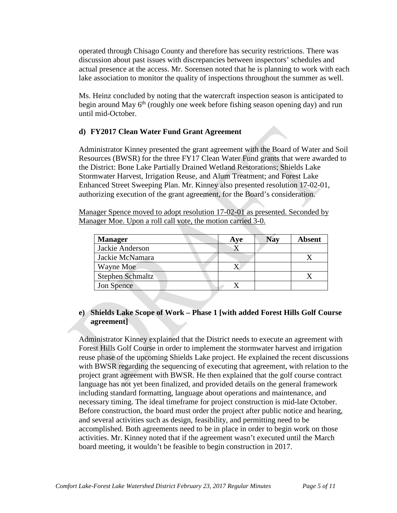operated through Chisago County and therefore has security restrictions. There was discussion about past issues with discrepancies between inspectors' schedules and actual presence at the access. Mr. Sorensen noted that he is planning to work with each lake association to monitor the quality of inspections throughout the summer as well.

Ms. Heinz concluded by noting that the watercraft inspection season is anticipated to begin around May  $6<sup>th</sup>$  (roughly one week before fishing season opening day) and run until mid-October.

# **d) FY2017 Clean Water Fund Grant Agreement**

Administrator Kinney presented the grant agreement with the Board of Water and Soil Resources (BWSR) for the three FY17 Clean Water Fund grants that were awarded to the District: Bone Lake Partially Drained Wetland Restorations; Shields Lake Stormwater Harvest, Irrigation Reuse, and Alum Treatment; and Forest Lake Enhanced Street Sweeping Plan. Mr. Kinney also presented resolution 17-02-01, authorizing execution of the grant agreement, for the Board's consideration.

Manager Spence moved to adopt resolution 17-02-01 as presented. Seconded by Manager Moe. Upon a roll call vote, the motion carried 3-0.

| <b>Manager</b>          | Aye | <b>Nay</b> | <b>Absent</b> |
|-------------------------|-----|------------|---------------|
| Jackie Anderson         |     |            |               |
| Jackie McNamara         |     |            |               |
| Wayne Moe               |     |            |               |
| <b>Stephen Schmaltz</b> |     |            |               |
| Jon Spence              |     |            |               |

# **e) Shields Lake Scope of Work – Phase 1 [with added Forest Hills Golf Course agreement]**

Administrator Kinney explained that the District needs to execute an agreement with Forest Hills Golf Course in order to implement the stormwater harvest and irrigation reuse phase of the upcoming Shields Lake project. He explained the recent discussions with BWSR regarding the sequencing of executing that agreement, with relation to the project grant agreement with BWSR. He then explained that the golf course contract language has not yet been finalized, and provided details on the general framework including standard formatting, language about operations and maintenance, and necessary timing. The ideal timeframe for project construction is mid-late October. Before construction, the board must order the project after public notice and hearing, and several activities such as design, feasibility, and permitting need to be accomplished. Both agreements need to be in place in order to begin work on those activities. Mr. Kinney noted that if the agreement wasn't executed until the March board meeting, it wouldn't be feasible to begin construction in 2017.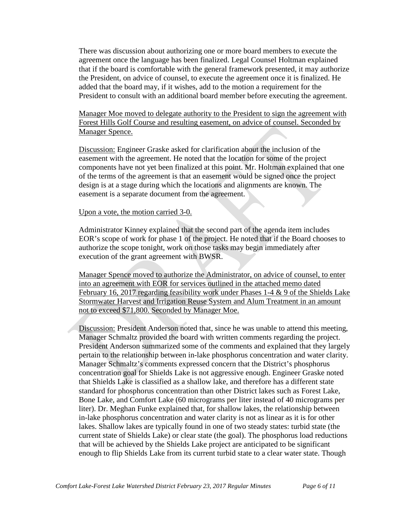There was discussion about authorizing one or more board members to execute the agreement once the language has been finalized. Legal Counsel Holtman explained that if the board is comfortable with the general framework presented, it may authorize the President, on advice of counsel, to execute the agreement once it is finalized. He added that the board may, if it wishes, add to the motion a requirement for the President to consult with an additional board member before executing the agreement.

Manager Moe moved to delegate authority to the President to sign the agreement with Forest Hills Golf Course and resulting easement, on advice of counsel. Seconded by Manager Spence.

Discussion: Engineer Graske asked for clarification about the inclusion of the easement with the agreement. He noted that the location for some of the project components have not yet been finalized at this point. Mr. Holtman explained that one of the terms of the agreement is that an easement would be signed once the project design is at a stage during which the locations and alignments are known. The easement is a separate document from the agreement.

#### Upon a vote, the motion carried 3-0.

Administrator Kinney explained that the second part of the agenda item includes EOR's scope of work for phase 1 of the project. He noted that if the Board chooses to authorize the scope tonight, work on those tasks may begin immediately after execution of the grant agreement with BWSR.

Manager Spence moved to authorize the Administrator, on advice of counsel, to enter into an agreement with EOR for services outlined in the attached memo dated February 16, 2017 regarding feasibility work under Phases 1-4 & 9 of the Shields Lake Stormwater Harvest and Irrigation Reuse System and Alum Treatment in an amount not to exceed \$71,800. Seconded by Manager Moe.

Discussion: President Anderson noted that, since he was unable to attend this meeting, Manager Schmaltz provided the board with written comments regarding the project. President Anderson summarized some of the comments and explained that they largely pertain to the relationship between in-lake phosphorus concentration and water clarity. Manager Schmaltz's comments expressed concern that the District's phosphorus concentration goal for Shields Lake is not aggressive enough. Engineer Graske noted that Shields Lake is classified as a shallow lake, and therefore has a different state standard for phosphorus concentration than other District lakes such as Forest Lake, Bone Lake, and Comfort Lake (60 micrograms per liter instead of 40 micrograms per liter). Dr. Meghan Funke explained that, for shallow lakes, the relationship between in-lake phosphorus concentration and water clarity is not as linear as it is for other lakes. Shallow lakes are typically found in one of two steady states: turbid state (the current state of Shields Lake) or clear state (the goal). The phosphorus load reductions that will be achieved by the Shields Lake project are anticipated to be significant enough to flip Shields Lake from its current turbid state to a clear water state. Though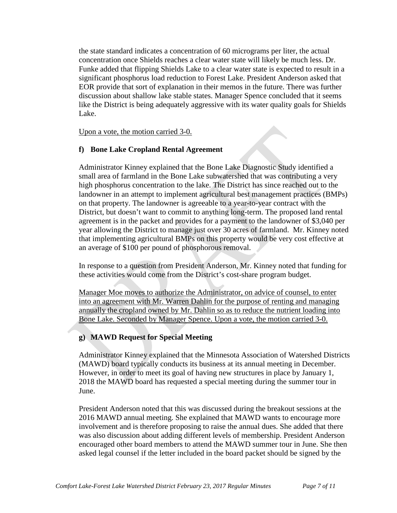the state standard indicates a concentration of 60 micrograms per liter, the actual concentration once Shields reaches a clear water state will likely be much less. Dr. Funke added that flipping Shields Lake to a clear water state is expected to result in a significant phosphorus load reduction to Forest Lake. President Anderson asked that EOR provide that sort of explanation in their memos in the future. There was further discussion about shallow lake stable states. Manager Spence concluded that it seems like the District is being adequately aggressive with its water quality goals for Shields Lake.

Upon a vote, the motion carried 3-0.

# **f) Bone Lake Cropland Rental Agreement**

Administrator Kinney explained that the Bone Lake Diagnostic Study identified a small area of farmland in the Bone Lake subwatershed that was contributing a very high phosphorus concentration to the lake. The District has since reached out to the landowner in an attempt to implement agricultural best management practices (BMPs) on that property. The landowner is agreeable to a year-to-year contract with the District, but doesn't want to commit to anything long-term. The proposed land rental agreement is in the packet and provides for a payment to the landowner of \$3,040 per year allowing the District to manage just over 30 acres of farmland. Mr. Kinney noted that implementing agricultural BMPs on this property would be very cost effective at an average of \$100 per pound of phosphorous removal.

In response to a question from President Anderson, Mr. Kinney noted that funding for these activities would come from the District's cost-share program budget.

Manager Moe moves to authorize the Administrator, on advice of counsel, to enter into an agreement with Mr. Warren Dahlin for the purpose of renting and managing annually the cropland owned by Mr. Dahlin so as to reduce the nutrient loading into Bone Lake. Seconded by Manager Spence. Upon a vote, the motion carried 3-0.

# **g) MAWD Request for Special Meeting**

Administrator Kinney explained that the Minnesota Association of Watershed Districts (MAWD) board typically conducts its business at its annual meeting in December. However, in order to meet its goal of having new structures in place by January 1, 2018 the MAWD board has requested a special meeting during the summer tour in June.

President Anderson noted that this was discussed during the breakout sessions at the 2016 MAWD annual meeting. She explained that MAWD wants to encourage more involvement and is therefore proposing to raise the annual dues. She added that there was also discussion about adding different levels of membership. President Anderson encouraged other board members to attend the MAWD summer tour in June. She then asked legal counsel if the letter included in the board packet should be signed by the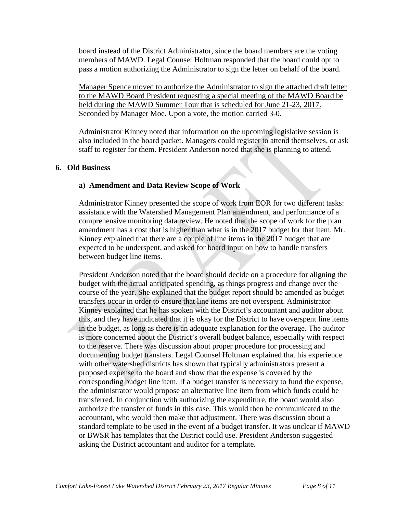board instead of the District Administrator, since the board members are the voting members of MAWD. Legal Counsel Holtman responded that the board could opt to pass a motion authorizing the Administrator to sign the letter on behalf of the board.

Manager Spence moved to authorize the Administrator to sign the attached draft letter to the MAWD Board President requesting a special meeting of the MAWD Board be held during the MAWD Summer Tour that is scheduled for June 21-23, 2017. Seconded by Manager Moe. Upon a vote, the motion carried 3-0.

Administrator Kinney noted that information on the upcoming legislative session is also included in the board packet. Managers could register to attend themselves, or ask staff to register for them. President Anderson noted that she is planning to attend.

#### **6. Old Business**

### **a) Amendment and Data Review Scope of Work**

Administrator Kinney presented the scope of work from EOR for two different tasks: assistance with the Watershed Management Plan amendment, and performance of a comprehensive monitoring data review. He noted that the scope of work for the plan amendment has a cost that is higher than what is in the 2017 budget for that item. Mr. Kinney explained that there are a couple of line items in the 2017 budget that are expected to be underspent, and asked for board input on how to handle transfers between budget line items.

President Anderson noted that the board should decide on a procedure for aligning the budget with the actual anticipated spending, as things progress and change over the course of the year. She explained that the budget report should be amended as budget transfers occur in order to ensure that line items are not overspent. Administrator Kinney explained that he has spoken with the District's accountant and auditor about this, and they have indicated that it is okay for the District to have overspent line items in the budget, as long as there is an adequate explanation for the overage. The auditor is more concerned about the District's overall budget balance, especially with respect to the reserve. There was discussion about proper procedure for processing and documenting budget transfers. Legal Counsel Holtman explained that his experience with other watershed districts has shown that typically administrators present a proposed expense to the board and show that the expense is covered by the corresponding budget line item. If a budget transfer is necessary to fund the expense, the administrator would propose an alternative line item from which funds could be transferred. In conjunction with authorizing the expenditure, the board would also authorize the transfer of funds in this case. This would then be communicated to the accountant, who would then make that adjustment. There was discussion about a standard template to be used in the event of a budget transfer. It was unclear if MAWD or BWSR has templates that the District could use. President Anderson suggested asking the District accountant and auditor for a template.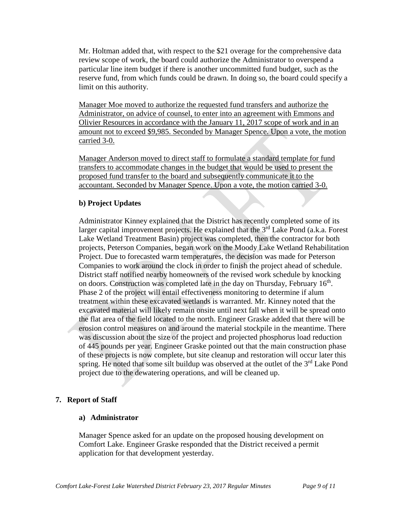Mr. Holtman added that, with respect to the \$21 overage for the comprehensive data review scope of work, the board could authorize the Administrator to overspend a particular line item budget if there is another uncommitted fund budget, such as the reserve fund, from which funds could be drawn. In doing so, the board could specify a limit on this authority.

Manager Moe moved to authorize the requested fund transfers and authorize the Administrator, on advice of counsel, to enter into an agreement with Emmons and Olivier Resources in accordance with the January 11, 2017 scope of work and in an amount not to exceed \$9,985. Seconded by Manager Spence. Upon a vote, the motion carried 3-0.

Manager Anderson moved to direct staff to formulate a standard template for fund transfers to accommodate changes in the budget that would be used to present the proposed fund transfer to the board and subsequently communicate it to the accountant. Seconded by Manager Spence. Upon a vote, the motion carried 3-0.

# **b) Project Updates**

Administrator Kinney explained that the District has recently completed some of its larger capital improvement projects. He explained that the  $3<sup>rd</sup>$  Lake Pond (a.k.a. Forest Lake Wetland Treatment Basin) project was completed, then the contractor for both projects, Peterson Companies, began work on the Moody Lake Wetland Rehabilitation Project. Due to forecasted warm temperatures, the decision was made for Peterson Companies to work around the clock in order to finish the project ahead of schedule. District staff notified nearby homeowners of the revised work schedule by knocking on doors. Construction was completed late in the day on Thursday, February  $16<sup>th</sup>$ . Phase 2 of the project will entail effectiveness monitoring to determine if alum treatment within these excavated wetlands is warranted. Mr. Kinney noted that the excavated material will likely remain onsite until next fall when it will be spread onto the flat area of the field located to the north. Engineer Graske added that there will be erosion control measures on and around the material stockpile in the meantime. There was discussion about the size of the project and projected phosphorus load reduction of 445 pounds per year. Engineer Graske pointed out that the main construction phase of these projects is now complete, but site cleanup and restoration will occur later this spring. He noted that some silt buildup was observed at the outlet of the  $3<sup>rd</sup>$  Lake Pond project due to the dewatering operations, and will be cleaned up.

# **7. Report of Staff**

#### **a) Administrator**

Manager Spence asked for an update on the proposed housing development on Comfort Lake. Engineer Graske responded that the District received a permit application for that development yesterday.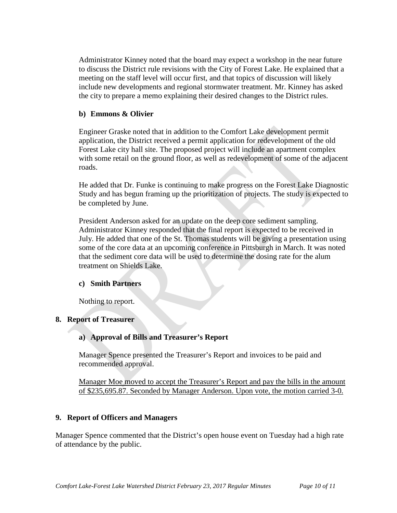Administrator Kinney noted that the board may expect a workshop in the near future to discuss the District rule revisions with the City of Forest Lake. He explained that a meeting on the staff level will occur first, and that topics of discussion will likely include new developments and regional stormwater treatment. Mr. Kinney has asked the city to prepare a memo explaining their desired changes to the District rules.

#### **b) Emmons & Olivier**

Engineer Graske noted that in addition to the Comfort Lake development permit application, the District received a permit application for redevelopment of the old Forest Lake city hall site. The proposed project will include an apartment complex with some retail on the ground floor, as well as redevelopment of some of the adjacent roads.

He added that Dr. Funke is continuing to make progress on the Forest Lake Diagnostic Study and has begun framing up the prioritization of projects. The study is expected to be completed by June.

President Anderson asked for an update on the deep core sediment sampling. Administrator Kinney responded that the final report is expected to be received in July. He added that one of the St. Thomas students will be giving a presentation using some of the core data at an upcoming conference in Pittsburgh in March. It was noted that the sediment core data will be used to determine the dosing rate for the alum treatment on Shields Lake.

#### **c) Smith Partners**

Nothing to report.

# **8. Report of Treasurer**

# **a) Approval of Bills and Treasurer's Report**

Manager Spence presented the Treasurer's Report and invoices to be paid and recommended approval.

Manager Moe moved to accept the Treasurer's Report and pay the bills in the amount of \$235,695.87. Seconded by Manager Anderson. Upon vote, the motion carried 3-0.

#### **9. Report of Officers and Managers**

Manager Spence commented that the District's open house event on Tuesday had a high rate of attendance by the public.